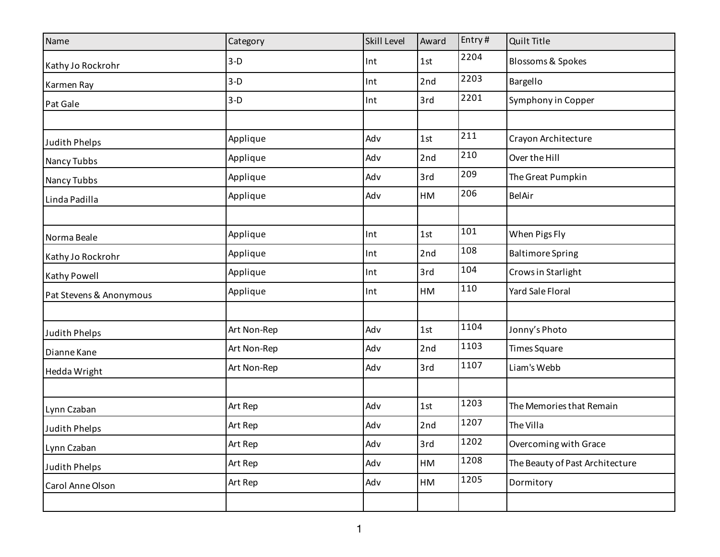| Name                    | Category    | <b>Skill Level</b> | Award | Entry# | Quilt Title                     |
|-------------------------|-------------|--------------------|-------|--------|---------------------------------|
| Kathy Jo Rockrohr       | $3-D$       | Int                | 1st   | 2204   | <b>Blossoms &amp; Spokes</b>    |
| Karmen Ray              | $3-D$       | Int                | 2nd   | 2203   | Bargello                        |
| Pat Gale                | $3-D$       | Int                | 3rd   | 2201   | Symphony in Copper              |
|                         |             |                    |       |        |                                 |
| Judith Phelps           | Applique    | Adv                | 1st   | 211    | Crayon Architecture             |
| Nancy Tubbs             | Applique    | Adv                | 2nd   | 210    | Over the Hill                   |
| Nancy Tubbs             | Applique    | Adv                | 3rd   | 209    | The Great Pumpkin               |
| Linda Padilla           | Applique    | Adv                | HM    | 206    | BelAir                          |
|                         |             |                    |       |        |                                 |
| Norma Beale             | Applique    | Int                | 1st   | 101    | When Pigs Fly                   |
| Kathy Jo Rockrohr       | Applique    | Int                | 2nd   | 108    | <b>Baltimore Spring</b>         |
| Kathy Powell            | Applique    | Int                | 3rd   | 104    | Crows in Starlight              |
| Pat Stevens & Anonymous | Applique    | Int                | HM    | 110    | Yard Sale Floral                |
|                         |             |                    |       |        |                                 |
| Judith Phelps           | Art Non-Rep | Adv                | 1st   | 1104   | Jonny's Photo                   |
| Dianne Kane             | Art Non-Rep | Adv                | 2nd   | 1103   | <b>Times Square</b>             |
| Hedda Wright            | Art Non-Rep | Adv                | 3rd   | 1107   | Liam's Webb                     |
|                         |             |                    |       |        |                                 |
| Lynn Czaban             | Art Rep     | Adv                | 1st   | 1203   | The Memories that Remain        |
| <b>Judith Phelps</b>    | Art Rep     | Adv                | 2nd   | 1207   | The Villa                       |
| Lynn Czaban             | Art Rep     | Adv                | 3rd   | 1202   | Overcoming with Grace           |
| Judith Phelps           | Art Rep     | Adv                | HM    | 1208   | The Beauty of Past Architecture |
| Carol Anne Olson        | Art Rep     | Adv                | HM    | 1205   | Dormitory                       |
|                         |             |                    |       |        |                                 |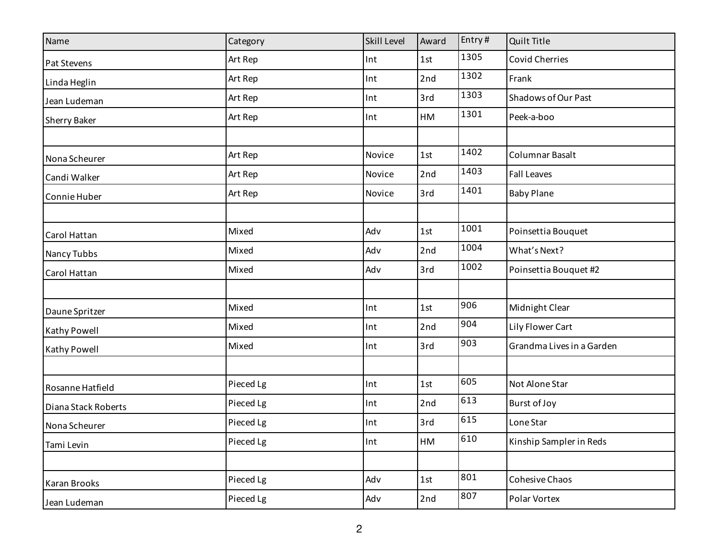| Name                | Category  | <b>Skill Level</b> | Award | Entry# | Quilt Title               |
|---------------------|-----------|--------------------|-------|--------|---------------------------|
| Pat Stevens         | Art Rep   | Int                | 1st   | 1305   | <b>Covid Cherries</b>     |
| Linda Heglin        | Art Rep   | Int                | 2nd   | 1302   | Frank                     |
| Jean Ludeman        | Art Rep   | Int                | 3rd   | 1303   | Shadows of Our Past       |
| Sherry Baker        | Art Rep   | Int                | HM    | 1301   | Peek-a-boo                |
|                     |           |                    |       |        |                           |
| Nona Scheurer       | Art Rep   | Novice             | 1st   | 1402   | Columnar Basalt           |
| Candi Walker        | Art Rep   | Novice             | 2nd   | 1403   | <b>Fall Leaves</b>        |
| Connie Huber        | Art Rep   | Novice             | 3rd   | 1401   | <b>Baby Plane</b>         |
|                     |           |                    |       |        |                           |
| Carol Hattan        | Mixed     | Adv                | 1st   | 1001   | Poinsettia Bouquet        |
| Nancy Tubbs         | Mixed     | Adv                | 2nd   | 1004   | What's Next?              |
| Carol Hattan        | Mixed     | Adv                | 3rd   | 1002   | Poinsettia Bouquet #2     |
|                     |           |                    |       |        |                           |
| Daune Spritzer      | Mixed     | Int                | 1st   | 906    | Midnight Clear            |
| Kathy Powell        | Mixed     | Int                | 2nd   | 904    | Lily Flower Cart          |
| Kathy Powell        | Mixed     | Int                | 3rd   | 903    | Grandma Lives in a Garden |
|                     |           |                    |       |        |                           |
| Rosanne Hatfield    | Pieced Lg | Int                | 1st   | 605    | Not Alone Star            |
| Diana Stack Roberts | Pieced Lg | Int                | 2nd   | 613    | Burst of Joy              |
| Nona Scheurer       | Pieced Lg | Int                | 3rd   | 615    | Lone Star                 |
| Tami Levin          | Pieced Lg | Int                | HM    | 610    | Kinship Sampler in Reds   |
|                     |           |                    |       |        |                           |
| Karan Brooks        | Pieced Lg | Adv                | 1st   | 801    | Cohesive Chaos            |
| Jean Ludeman        | Pieced Lg | Adv                | 2nd   | 807    | Polar Vortex              |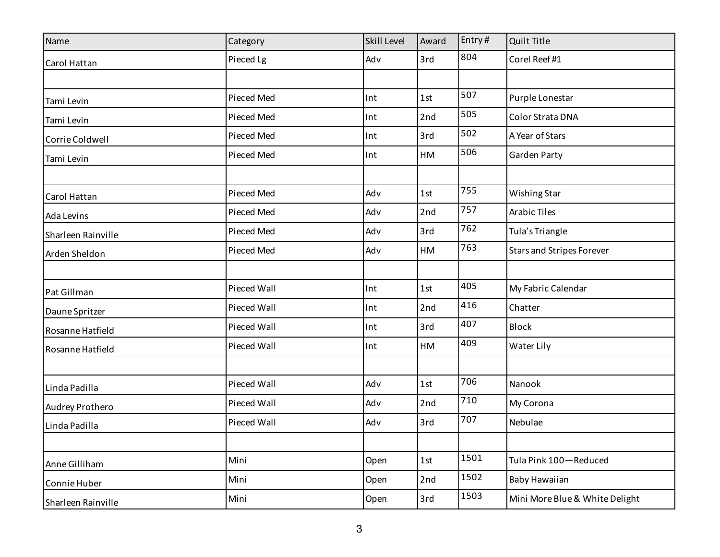| Name               | Category    | <b>Skill Level</b> | Award | Entry# | Quilt Title                      |
|--------------------|-------------|--------------------|-------|--------|----------------------------------|
| Carol Hattan       | Pieced Lg   | Adv                | 3rd   | 804    | Corel Reef#1                     |
|                    |             |                    |       |        |                                  |
| Tami Levin         | Pieced Med  | Int                | 1st   | 507    | Purple Lonestar                  |
| Tami Levin         | Pieced Med  | Int                | 2nd   | 505    | Color Strata DNA                 |
| Corrie Coldwell    | Pieced Med  | Int                | 3rd   | 502    | A Year of Stars                  |
| Tami Levin         | Pieced Med  | Int                | HM    | 506    | Garden Party                     |
|                    |             |                    |       |        |                                  |
| Carol Hattan       | Pieced Med  | Adv                | 1st   | 755    | Wishing Star                     |
| Ada Levins         | Pieced Med  | Adv                | 2nd   | 757    | <b>Arabic Tiles</b>              |
| Sharleen Rainville | Pieced Med  | Adv                | 3rd   | 762    | Tula's Triangle                  |
| Arden Sheldon      | Pieced Med  | Adv                | HM    | 763    | <b>Stars and Stripes Forever</b> |
|                    |             |                    |       |        |                                  |
| Pat Gillman        | Pieced Wall | Int                | 1st   | 405    | My Fabric Calendar               |
| Daune Spritzer     | Pieced Wall | Int                | 2nd   | 416    | Chatter                          |
| Rosanne Hatfield   | Pieced Wall | Int                | 3rd   | 407    | <b>Block</b>                     |
| Rosanne Hatfield   | Pieced Wall | Int                | HM    | 409    | Water Lily                       |
|                    |             |                    |       |        |                                  |
| Linda Padilla      | Pieced Wall | Adv                | 1st   | 706    | Nanook                           |
| Audrey Prothero    | Pieced Wall | Adv                | 2nd   | 710    | My Corona                        |
| Linda Padilla      | Pieced Wall | Adv                | 3rd   | 707    | Nebulae                          |
|                    |             |                    |       |        |                                  |
| Anne Gilliham      | Mini        | Open               | 1st   | 1501   | Tula Pink 100-Reduced            |
| Connie Huber       | Mini        | Open               | 2nd   | 1502   | Baby Hawaiian                    |
| Sharleen Rainville | Mini        | Open               | 3rd   | 1503   | Mini More Blue & White Delight   |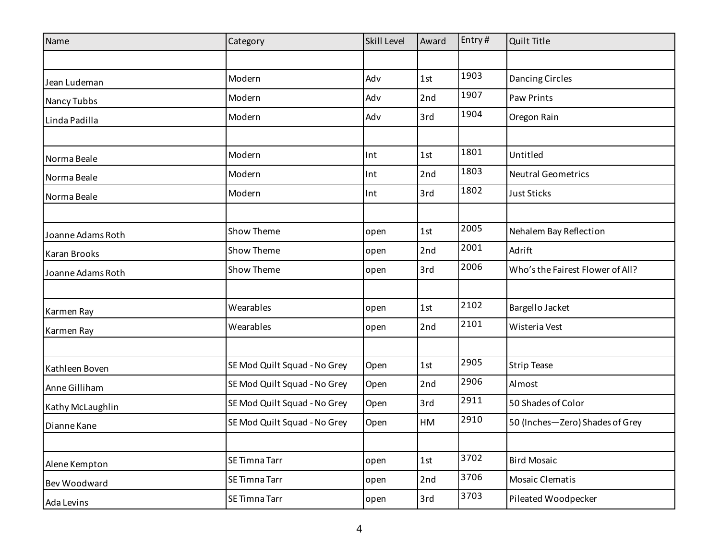| Name              | Category                     | <b>Skill Level</b> | Award | Entry# | Quilt Title                      |
|-------------------|------------------------------|--------------------|-------|--------|----------------------------------|
|                   |                              |                    |       |        |                                  |
| Jean Ludeman      | Modern                       | Adv                | 1st   | 1903   | Dancing Circles                  |
| Nancy Tubbs       | Modern                       | Adv                | 2nd   | 1907   | Paw Prints                       |
| Linda Padilla     | Modern                       | Adv                | 3rd   | 1904   | Oregon Rain                      |
|                   |                              |                    |       |        |                                  |
| Norma Beale       | Modern                       | Int                | 1st   | 1801   | Untitled                         |
| Norma Beale       | Modern                       | Int                | 2nd   | 1803   | <b>Neutral Geometrics</b>        |
| Norma Beale       | Modern                       | Int                | 3rd   | 1802   | <b>Just Sticks</b>               |
|                   |                              |                    |       |        |                                  |
| Joanne Adams Roth | Show Theme                   | open               | 1st   | 2005   | Nehalem Bay Reflection           |
| Karan Brooks      | Show Theme                   | open               | 2nd   | 2001   | Adrift                           |
| Joanne Adams Roth | Show Theme                   | open               | 3rd   | 2006   | Who's the Fairest Flower of All? |
|                   |                              |                    |       |        |                                  |
| Karmen Ray        | Wearables                    | open               | 1st   | 2102   | Bargello Jacket                  |
| Karmen Ray        | Wearables                    | open               | 2nd   | 2101   | Wisteria Vest                    |
|                   |                              |                    |       |        |                                  |
| Kathleen Boven    | SE Mod Quilt Squad - No Grey | Open               | 1st   | 2905   | <b>Strip Tease</b>               |
| Anne Gilliham     | SE Mod Quilt Squad - No Grey | Open               | 2nd   | 2906   | Almost                           |
| Kathy McLaughlin  | SE Mod Quilt Squad - No Grey | Open               | 3rd   | 2911   | 50 Shades of Color               |
| Dianne Kane       | SE Mod Quilt Squad - No Grey | Open               | HM    | 2910   | 50 (Inches-Zero) Shades of Grey  |
|                   |                              |                    |       |        |                                  |
| Alene Kempton     | SE Timna Tarr                | open               | 1st   | 3702   | <b>Bird Mosaic</b>               |
| Bev Woodward      | SE Timna Tarr                | open               | 2nd   | 3706   | Mosaic Clematis                  |
| Ada Levins        | SE Timna Tarr                | open               | 3rd   | 3703   | Pileated Woodpecker              |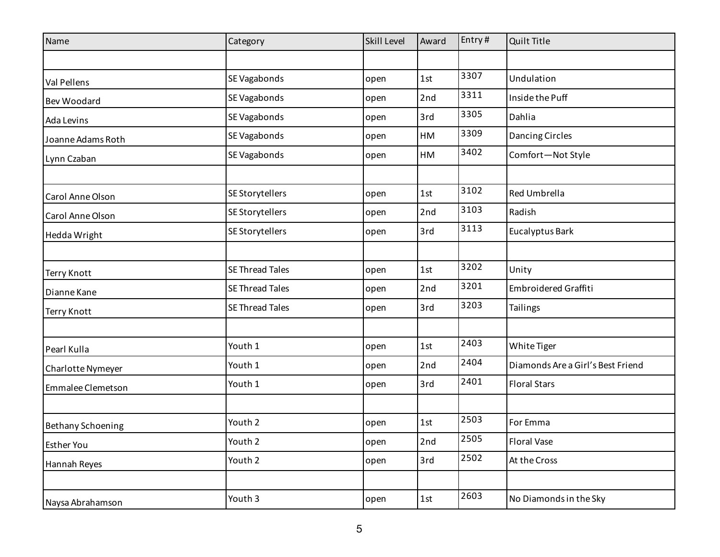| Name                     | Category               | Skill Level | Award | Entry# | Quilt Title                       |
|--------------------------|------------------------|-------------|-------|--------|-----------------------------------|
|                          |                        |             |       |        |                                   |
| Val Pellens              | SE Vagabonds           | open        | 1st   | 3307   | Undulation                        |
| Bev Woodard              | SE Vagabonds           | open        | 2nd   | 3311   | Inside the Puff                   |
| Ada Levins               | SE Vagabonds           | open        | 3rd   | 3305   | Dahlia                            |
| Joanne Adams Roth        | SE Vagabonds           | open        | HM    | 3309   | Dancing Circles                   |
| Lynn Czaban              | SE Vagabonds           | open        | HM    | 3402   | Comfort-Not Style                 |
|                          |                        |             |       |        |                                   |
| Carol Anne Olson         | SE Storytellers        | open        | 1st   | 3102   | Red Umbrella                      |
| Carol Anne Olson         | SE Storytellers        | open        | 2nd   | 3103   | Radish                            |
| Hedda Wright             | SE Storytellers        | open        | 3rd   | 3113   | Eucalyptus Bark                   |
|                          |                        |             |       |        |                                   |
| <b>Terry Knott</b>       | <b>SE Thread Tales</b> | open        | 1st   | 3202   | Unity                             |
| Dianne Kane              | <b>SE Thread Tales</b> | open        | 2nd   | 3201   | Embroidered Graffiti              |
| <b>Terry Knott</b>       | SE Thread Tales        | open        | 3rd   | 3203   | <b>Tailings</b>                   |
|                          |                        |             |       |        |                                   |
| Pearl Kulla              | Youth 1                | open        | 1st   | 2403   | White Tiger                       |
| Charlotte Nymeyer        | Youth 1                | open        | 2nd   | 2404   | Diamonds Are a Girl's Best Friend |
| Emmalee Clemetson        | Youth 1                | open        | 3rd   | 2401   | <b>Floral Stars</b>               |
|                          |                        |             |       |        |                                   |
| <b>Bethany Schoening</b> | Youth 2                | open        | 1st   | 2503   | For Emma                          |
| <b>Esther You</b>        | Youth 2                | open        | 2nd   | 2505   | <b>Floral Vase</b>                |
| Hannah Reyes             | Youth 2                | open        | 3rd   | 2502   | At the Cross                      |
|                          |                        |             |       |        |                                   |
| Naysa Abrahamson         | Youth 3                | open        | 1st   | 2603   | No Diamonds in the Sky            |